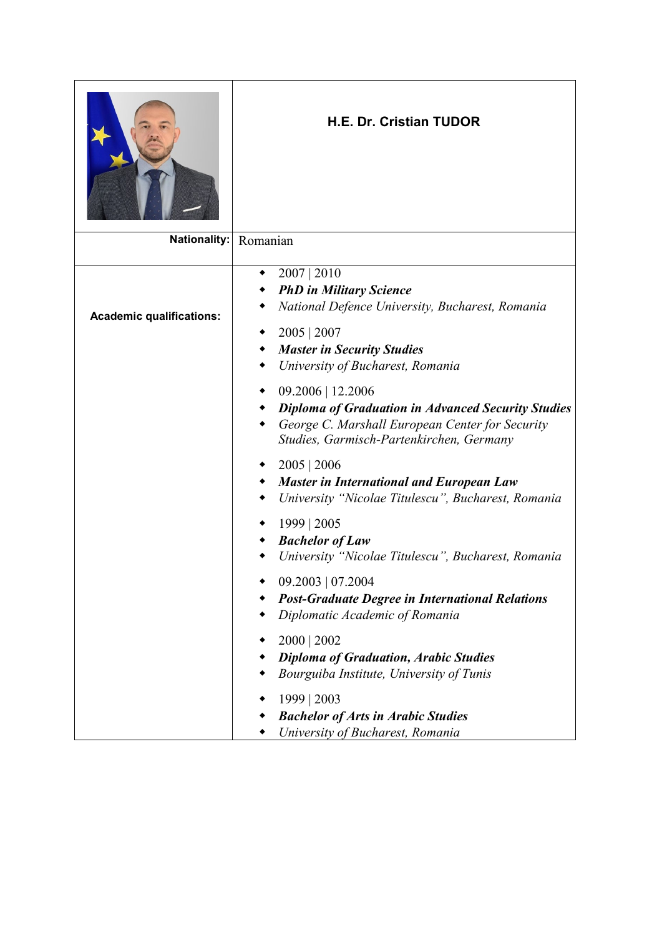

## **H.E. Dr. Cristian TUDOR**

| Nationality: Romanian           |                                                                                                                                                                                                              |
|---------------------------------|--------------------------------------------------------------------------------------------------------------------------------------------------------------------------------------------------------------|
| <b>Academic qualifications:</b> | 2007   2010<br>٠<br><b>PhD</b> in Military Science<br>National Defence University, Bucharest, Romania<br>2005   2007<br>٠<br><b>Master in Security Studies</b><br>٠<br>University of Bucharest, Romania<br>٠ |
|                                 | $09.2006$   12.2006<br>٠<br><b>Diploma of Graduation in Advanced Security Studies</b><br>George C. Marshall European Center for Security<br>Studies, Garmisch-Partenkirchen, Germany                         |
|                                 | 2005   2006<br>٠<br><b>Master in International and European Law</b><br>٠<br>University "Nicolae Titulescu", Bucharest, Romania                                                                               |
|                                 | 1999   2005<br>٠<br><b>Bachelor of Law</b><br>University "Nicolae Titulescu", Bucharest, Romania                                                                                                             |
|                                 | 09.2003   07.2004<br>٠<br><b>Post-Graduate Degree in International Relations</b><br>Diplomatic Academic of Romania                                                                                           |
|                                 | 2000   2002<br>٠<br><b>Diploma of Graduation, Arabic Studies</b><br>Bourguiba Institute, University of Tunis                                                                                                 |
|                                 | 1999   2003<br><b>Bachelor of Arts in Arabic Studies</b><br>University of Bucharest, Romania                                                                                                                 |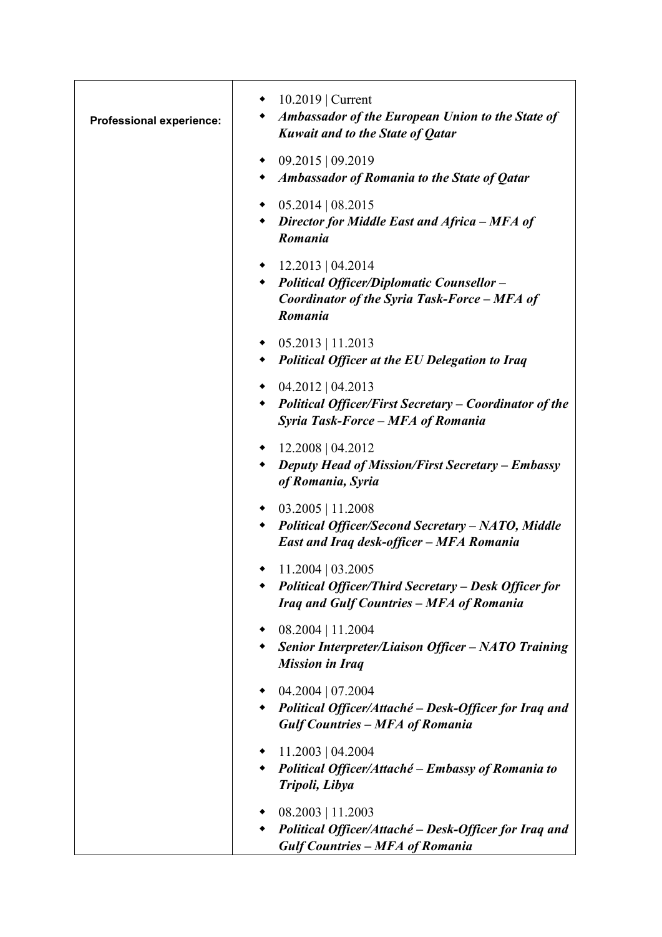| <b>Professional experience:</b> | $\bullet$ 10.2019   Current<br><b>Ambassador of the European Union to the State of</b><br>$\bullet$<br>Kuwait and to the State of Qatar |
|---------------------------------|-----------------------------------------------------------------------------------------------------------------------------------------|
|                                 | 09.2015   09.2019<br>٠<br>Ambassador of Romania to the State of Qatar                                                                   |
|                                 | $\bullet$ 05.2014   08.2015<br>Director for Middle East and Africa - MFA of<br>Romania                                                  |
|                                 | $\bullet$ 12.2013   04.2014<br>• Political Officer/Diplomatic Counsellor -<br>Coordinator of the Syria Task-Force - MFA of<br>Romania   |
|                                 | $\bullet$ 05.2013   11.2013<br>• Political Officer at the EU Delegation to Iraq                                                         |
|                                 | $\bullet$ 04.2012   04.2013<br><b>Political Officer/First Secretary – Coordinator of the</b><br>Syria Task-Force – MFA of Romania       |
|                                 | 12.2008   04.2012<br>$\bullet$<br><b>Deputy Head of Mission/First Secretary - Embassy</b><br>of Romania, Syria                          |
|                                 | $\bullet$ 03.2005   11.2008<br><b>Political Officer/Second Secretary – NATO, Middle</b><br>East and Iraq desk-officer - MFA Romania     |
|                                 | $11.2004 \mid 03.2005$<br><b>Political Officer/Third Secretary - Desk Officer for</b><br>Iraq and Gulf Countries - MFA of Romania       |
|                                 | $08.2004$   11.2004<br>٠<br><b>Senior Interpreter/Liaison Officer - NATO Training</b><br><b>Mission in Iraq</b>                         |
|                                 | $04.2004$   07.2004<br>٠<br>Political Officer/Attaché – Desk-Officer for Iraq and<br><b>Gulf Countries - MFA of Romania</b>             |
|                                 | 11.2003   04.2004<br>٠<br>Political Officer/Attaché – Embassy of Romania to<br>Tripoli, Libya                                           |
|                                 | $08.2003$   11.2003<br>Political Officer/Attaché - Desk-Officer for Iraq and<br><b>Gulf Countries - MFA of Romania</b>                  |